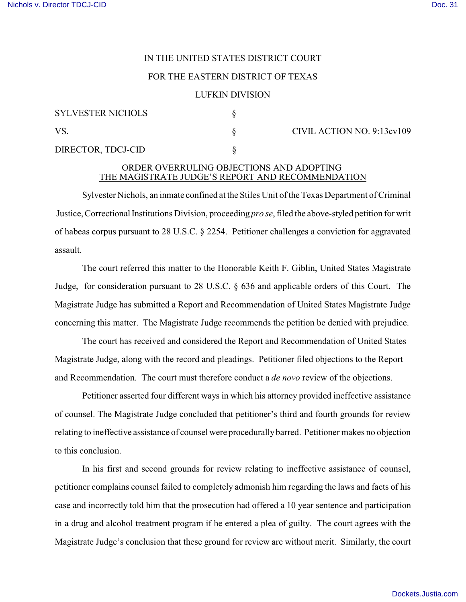## IN THE UNITED STATES DISTRICT COURT

## FOR THE EASTERN DISTRICT OF TEXAS

## LUFKIN DIVISION

| <b>SYLVESTER NICHOLS</b> |  |
|--------------------------|--|
| VS.                      |  |
| DIRECTOR, TDCJ-CID       |  |

CIVIL ACTION NO. 9:13cv109

## ORDER OVERRULING OBJECTIONS AND ADOPTING THE MAGISTRATE JUDGE'S REPORT AND RECOMMENDATION

Sylvester Nichols, an inmate confined at the Stiles Unit of the Texas Department of Criminal Justice, Correctional Institutions Division, proceeding *pro se*, filed the above-styled petition for writ of habeas corpus pursuant to 28 U.S.C. § 2254. Petitioner challenges a conviction for aggravated assault.

The court referred this matter to the Honorable Keith F. Giblin, United States Magistrate Judge, for consideration pursuant to 28 U.S.C. § 636 and applicable orders of this Court. The Magistrate Judge has submitted a Report and Recommendation of United States Magistrate Judge concerning this matter. The Magistrate Judge recommends the petition be denied with prejudice.

The court has received and considered the Report and Recommendation of United States Magistrate Judge, along with the record and pleadings. Petitioner filed objections to the Report and Recommendation. The court must therefore conduct a *de novo* review of the objections.

Petitioner asserted four different ways in which his attorney provided ineffective assistance of counsel. The Magistrate Judge concluded that petitioner's third and fourth grounds for review relating to ineffective assistance of counsel were procedurally barred. Petitioner makes no objection to this conclusion.

In his first and second grounds for review relating to ineffective assistance of counsel, petitioner complains counsel failed to completely admonish him regarding the laws and facts of his case and incorrectly told him that the prosecution had offered a 10 year sentence and participation in a drug and alcohol treatment program if he entered a plea of guilty. The court agrees with the Magistrate Judge's conclusion that these ground for review are without merit. Similarly, the court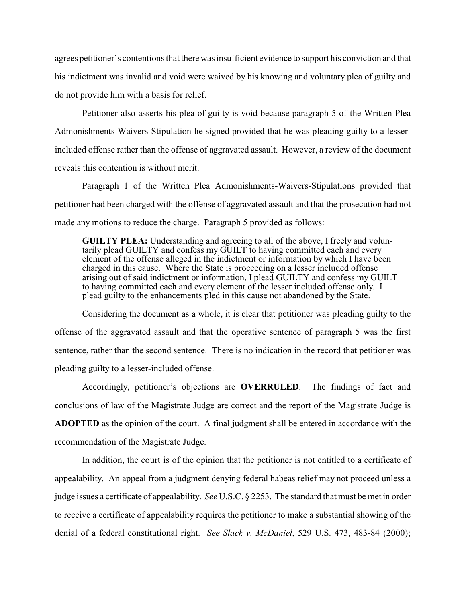agrees petitioner's contentions that there was insufficient evidence to support his conviction and that his indictment was invalid and void were waived by his knowing and voluntary plea of guilty and do not provide him with a basis for relief.

Petitioner also asserts his plea of guilty is void because paragraph 5 of the Written Plea Admonishments-Waivers-Stipulation he signed provided that he was pleading guilty to a lesserincluded offense rather than the offense of aggravated assault. However, a review of the document reveals this contention is without merit.

Paragraph 1 of the Written Plea Admonishments-Waivers-Stipulations provided that petitioner had been charged with the offense of aggravated assault and that the prosecution had not made any motions to reduce the charge. Paragraph 5 provided as follows:

**GUILTY PLEA:** Understanding and agreeing to all of the above, I freely and voluntarily plead GUILTY and confess my GUILT to having committed each and every element of the offense alleged in the indictment or information by which I have been charged in this cause. Where the State is proceeding on a lesser included offense arising out of said indictment or information, I plead GUILTY and confess my GUILT to having committed each and every element of the lesser included offense only. I plead guilty to the enhancements pled in this cause not abandoned by the State.

Considering the document as a whole, it is clear that petitioner was pleading guilty to the offense of the aggravated assault and that the operative sentence of paragraph 5 was the first sentence, rather than the second sentence. There is no indication in the record that petitioner was pleading guilty to a lesser-included offense.

Accordingly, petitioner's objections are **OVERRULED**. The findings of fact and conclusions of law of the Magistrate Judge are correct and the report of the Magistrate Judge is **ADOPTED** as the opinion of the court. A final judgment shall be entered in accordance with the recommendation of the Magistrate Judge.

In addition, the court is of the opinion that the petitioner is not entitled to a certificate of appealability. An appeal from a judgment denying federal habeas relief may not proceed unless a judge issues a certificate of appealability. *See* U.S.C. § 2253. The standard that must be met in order to receive a certificate of appealability requires the petitioner to make a substantial showing of the denial of a federal constitutional right. *See Slack v. McDaniel*, 529 U.S. 473, 483-84 (2000);